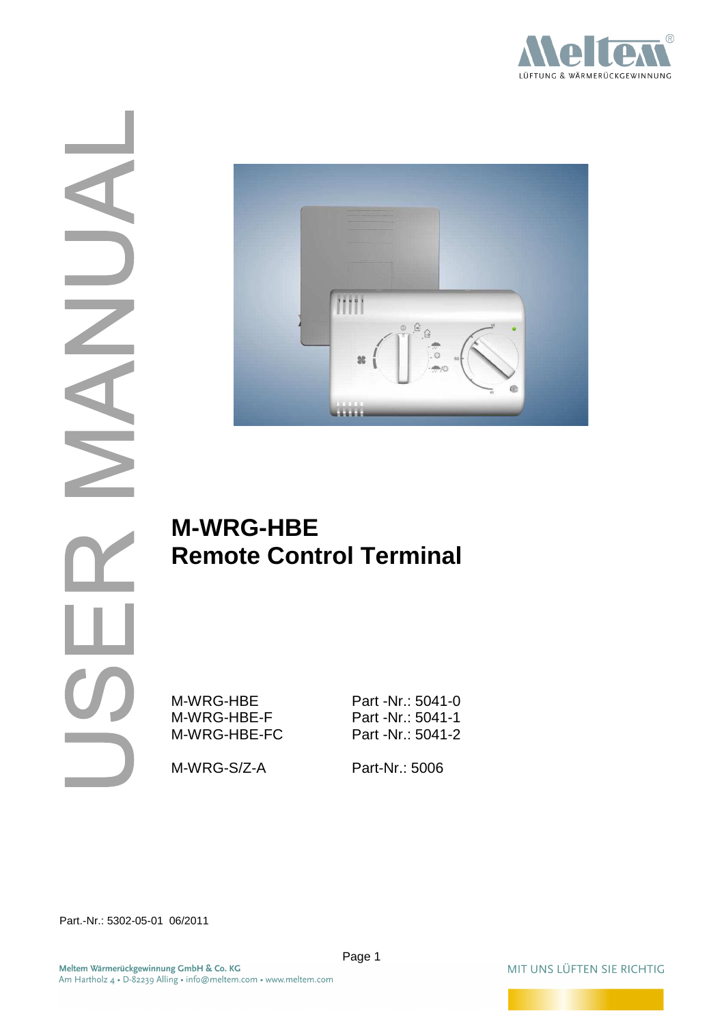



# **M-WRG-HBE Remote Control Terminal**

M-WRG-HBE Part -Nr.: 5041-0 M-WRG-HBE-F Part -Nr.: 5041-1 M-WRG-HBE-FC Part -Nr.: 5041-2

M-WRG-S/Z-A Part-Nr.: 5006

Part.-Nr.: 5302-05-01 06/2011

MIT UNS LÜFTEN SIE RICHTIG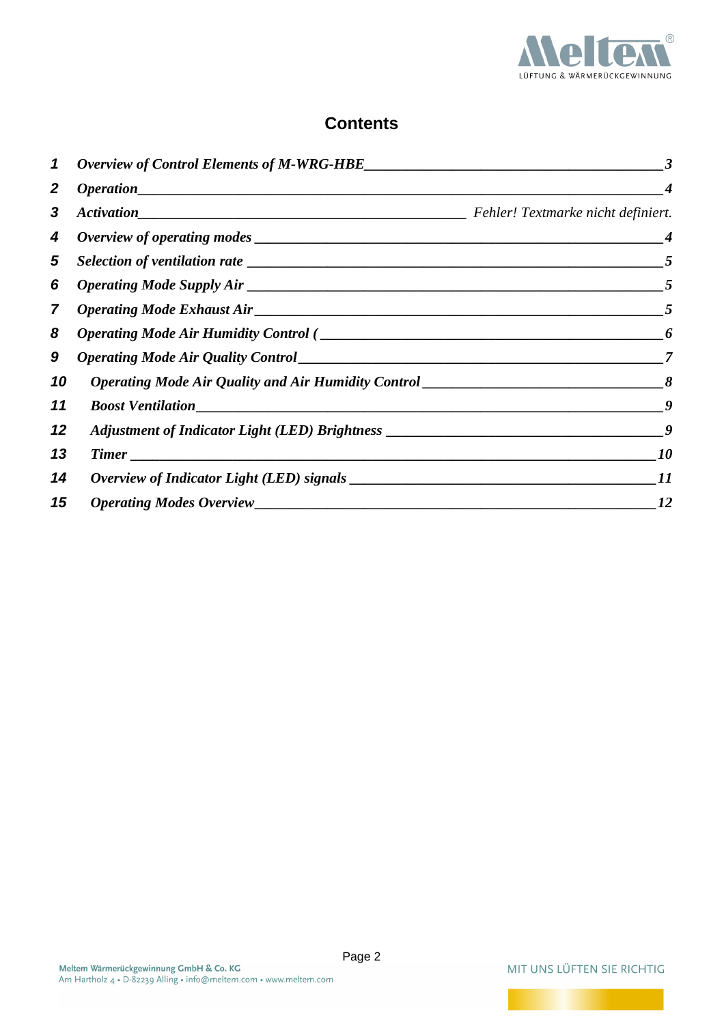

# **Contents**

| $\mathbf 1$      |                                                                                                                                                                                                                                         | 3                |
|------------------|-----------------------------------------------------------------------------------------------------------------------------------------------------------------------------------------------------------------------------------------|------------------|
| $\boldsymbol{2}$ | Operation                                                                                                                                                                                                                               |                  |
| 3                |                                                                                                                                                                                                                                         |                  |
| 4                |                                                                                                                                                                                                                                         | $\boldsymbol{4}$ |
| 5                |                                                                                                                                                                                                                                         | $\overline{5}$   |
| 6                |                                                                                                                                                                                                                                         | $\overline{5}$   |
| $\overline{7}$   | <i>Operating Mode Exhaust Air</i> <u>contained by the contractor</u> and the contractor of the contractor of the contractor of the contractor of the contractor of the contractor of the contractor of the contractor of the contractor | $\overline{5}$   |
| 8                |                                                                                                                                                                                                                                         | 6                |
| 9                |                                                                                                                                                                                                                                         | 7                |
| 10               | <i>Operating Mode Air Quality and Air Humidity Control</i>                                                                                                                                                                              |                  |
| 11               | <b>Boost Ventilation</b>                                                                                                                                                                                                                | -9               |
| 12               |                                                                                                                                                                                                                                         |                  |
| 13               |                                                                                                                                                                                                                                         | 10               |
| 14               |                                                                                                                                                                                                                                         | 11               |
| 15               |                                                                                                                                                                                                                                         | 12               |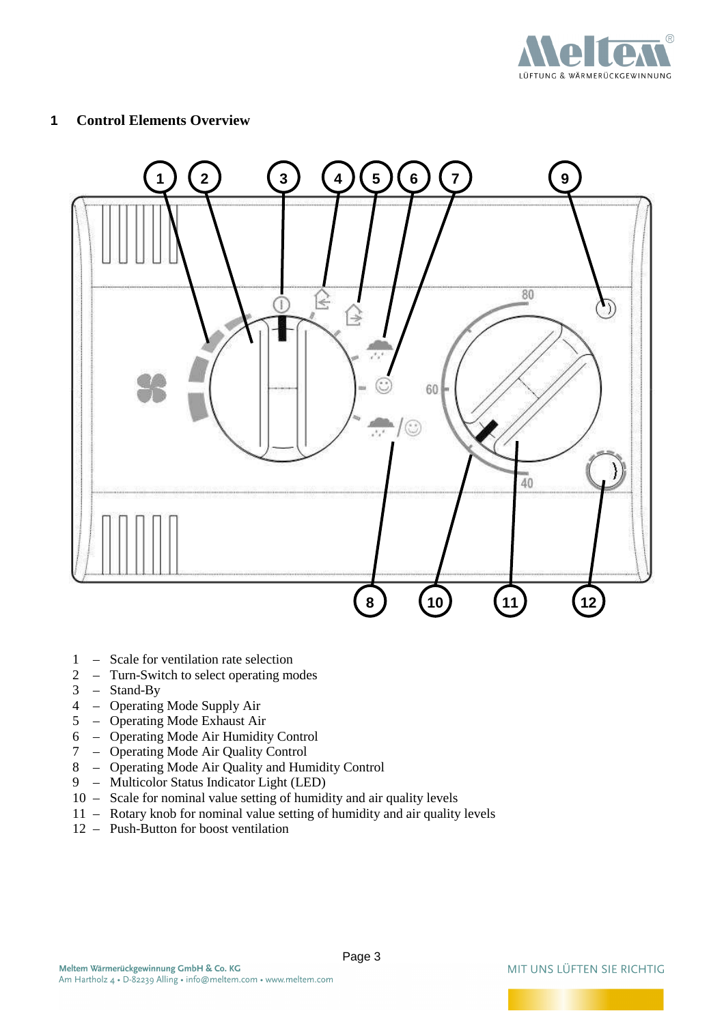

#### **1 Control Elements Overview**



- 1 Scale for ventilation rate selection<br>2 Turn-Switch to select operating mo
- 2 Turn-Switch to select operating modes<br>  $3 \text{Stand-Bv}$
- $3 \text{Stand-By}$ <br> $4 \text{Operating}$
- 4 Operating Mode Supply Air
- 5 Operating Mode Exhaust Air
- 6 Operating Mode Air Humidity Control
- 7 Operating Mode Air Quality Control
- 8 Operating Mode Air Quality and Humidity Control
- 9 Multicolor Status Indicator Light (LED)
- 10 Scale for nominal value setting of humidity and air quality levels
- 11 Rotary knob for nominal value setting of humidity and air quality levels
- 12 Push-Button for boost ventilation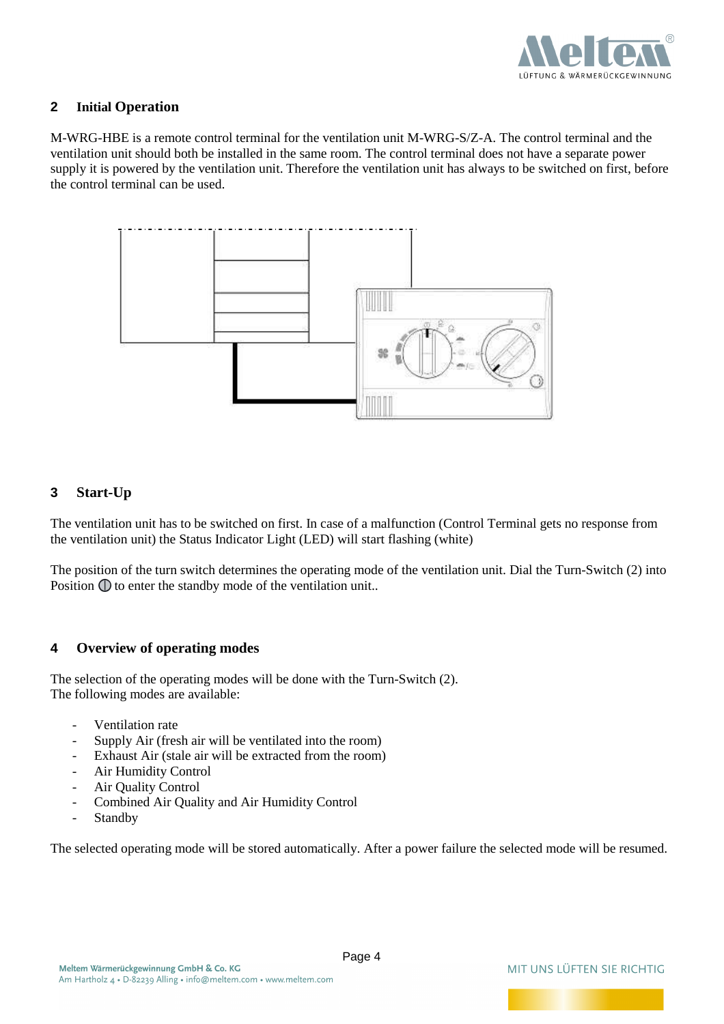

#### **2 Initial Operation**

M-WRG-HBE is a remote control terminal for the ventilation unit M-WRG-S/Z-A. The control terminal and the ventilation unit should both be installed in the same room. The control terminal does not have a separate power supply it is powered by the ventilation unit. Therefore the ventilation unit has always to be switched on first, before the control terminal can be used.



## **3 Start-Up**

The ventilation unit has to be switched on first. In case of a malfunction (Control Terminal gets no response from the ventilation unit) the Status Indicator Light (LED) will start flashing (white)

The position of the turn switch determines the operating mode of the ventilation unit. Dial the Turn-Switch (2) into Position  $\mathbb O$  to enter the standby mode of the ventilation unit..

#### **4 Overview of operating modes**

The selection of the operating modes will be done with the Turn-Switch (2). The following modes are available:

- Ventilation rate
- Supply Air (fresh air will be ventilated into the room)
- Exhaust Air (stale air will be extracted from the room)
- Air Humidity Control
- Air Quality Control
- Combined Air Quality and Air Humidity Control
- Standby

The selected operating mode will be stored automatically. After a power failure the selected mode will be resumed.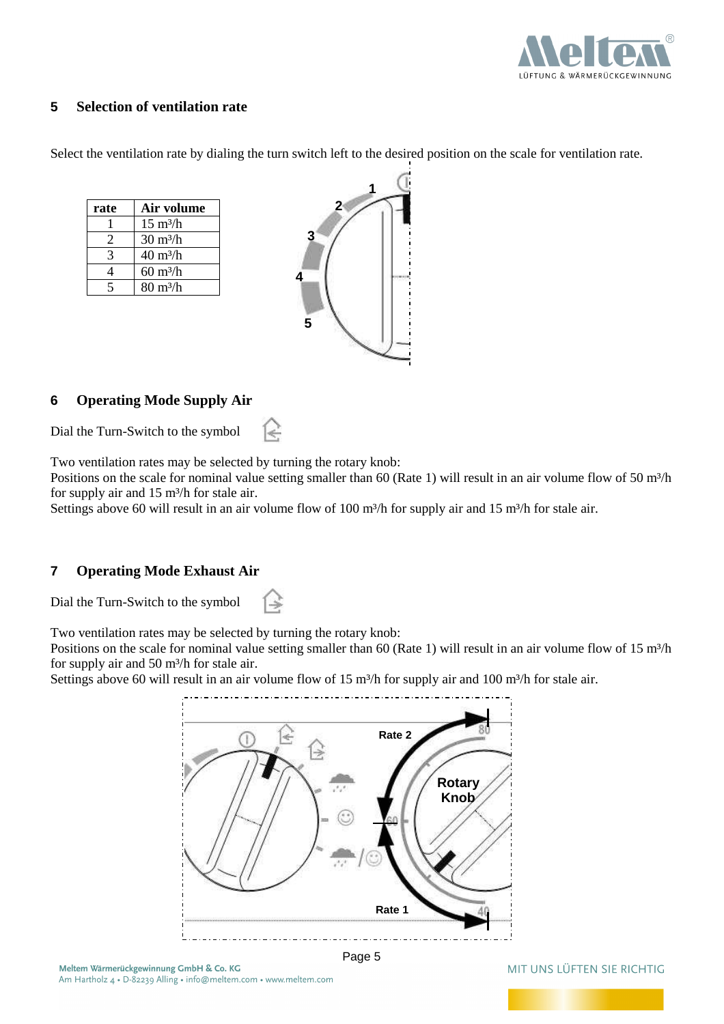

#### **5 Selection of ventilation rate**

Select the ventilation rate by dialing the turn switch left to the desired position on the scale for ventilation rate.

| rate | Air volume                      |
|------|---------------------------------|
|      | $15 \text{ m}^3/\text{h}$       |
| 2    | $30 \text{ m}^3$ /h             |
|      | $40 \text{ m}^3$ /h             |
|      | $60 \frac{\text{m3}}{\text{h}}$ |
|      | $80 \frac{\text{m3}}{\text{h}}$ |



## **6 Operating Mode Supply Air**

Dial the Turn-Switch to the symbol

Two ventilation rates may be selected by turning the rotary knob:

₹,

Positions on the scale for nominal value setting smaller than 60 (Rate 1) will result in an air volume flow of 50  $m<sup>3</sup>/h$ for supply air and 15 m<sup>3</sup>/h for stale air.

Settings above 60 will result in an air volume flow of 100 m<sup>3</sup>/h for supply air and 15 m<sup>3</sup>/h for stale air.

#### **7 Operating Mode Exhaust Air**

Dial the Turn-Switch to the symbol

Two ventilation rates may be selected by turning the rotary knob:

Positions on the scale for nominal value setting smaller than 60 (Rate 1) will result in an air volume flow of 15 m<sup>3</sup>/h for supply air and 50 m<sup>3</sup>/h for stale air.

Settings above 60 will result in an air volume flow of 15 m<sup>3</sup>/h for supply air and 100 m<sup>3</sup>/h for stale air.



Page 5

#### MIT UNS LÜFTEN SIE RICHTIG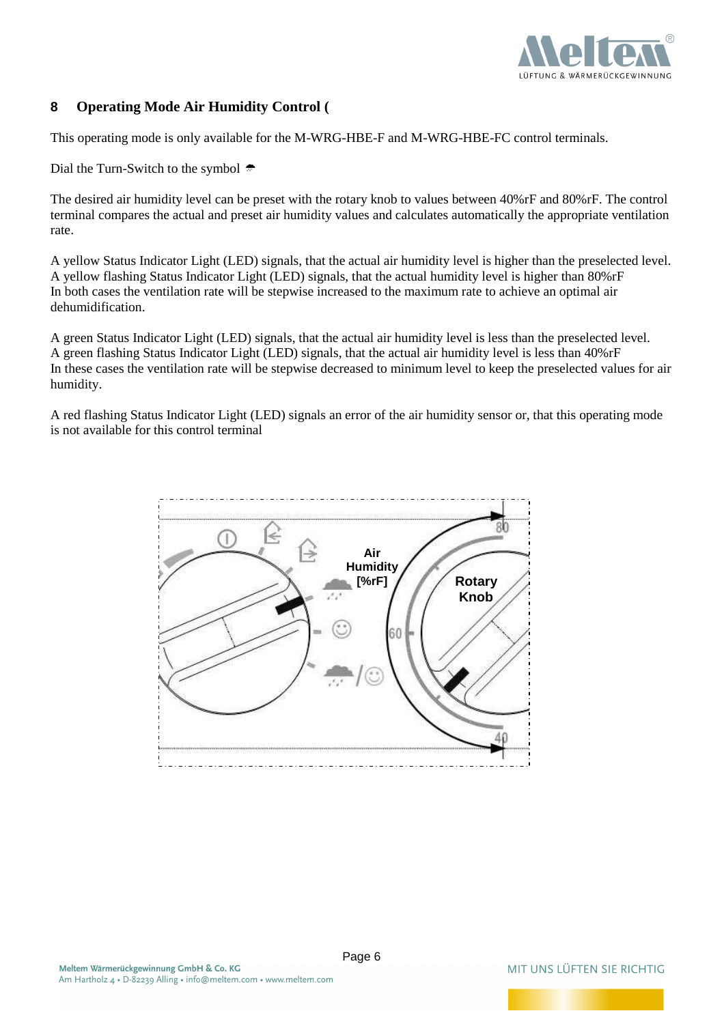

## **8 Operating Mode Air Humidity Control (**

This operating mode is only available for the M-WRG-HBE-F and M-WRG-HBE-FC control terminals.

Dial the Turn-Switch to the symbol  $\triangle$ 

The desired air humidity level can be preset with the rotary knob to values between 40%rF and 80%rF. The control terminal compares the actual and preset air humidity values and calculates automatically the appropriate ventilation rate.

A yellow Status Indicator Light (LED) signals, that the actual air humidity level is higher than the preselected level. A yellow flashing Status Indicator Light (LED) signals, that the actual humidity level is higher than 80%rF In both cases the ventilation rate will be stepwise increased to the maximum rate to achieve an optimal air dehumidification.

A green Status Indicator Light (LED) signals, that the actual air humidity level is less than the preselected level. A green flashing Status Indicator Light (LED) signals, that the actual air humidity level is less than 40%rF In these cases the ventilation rate will be stepwise decreased to minimum level to keep the preselected values for air humidity.

A red flashing Status Indicator Light (LED) signals an error of the air humidity sensor or, that this operating mode is not available for this control terminal



Page 6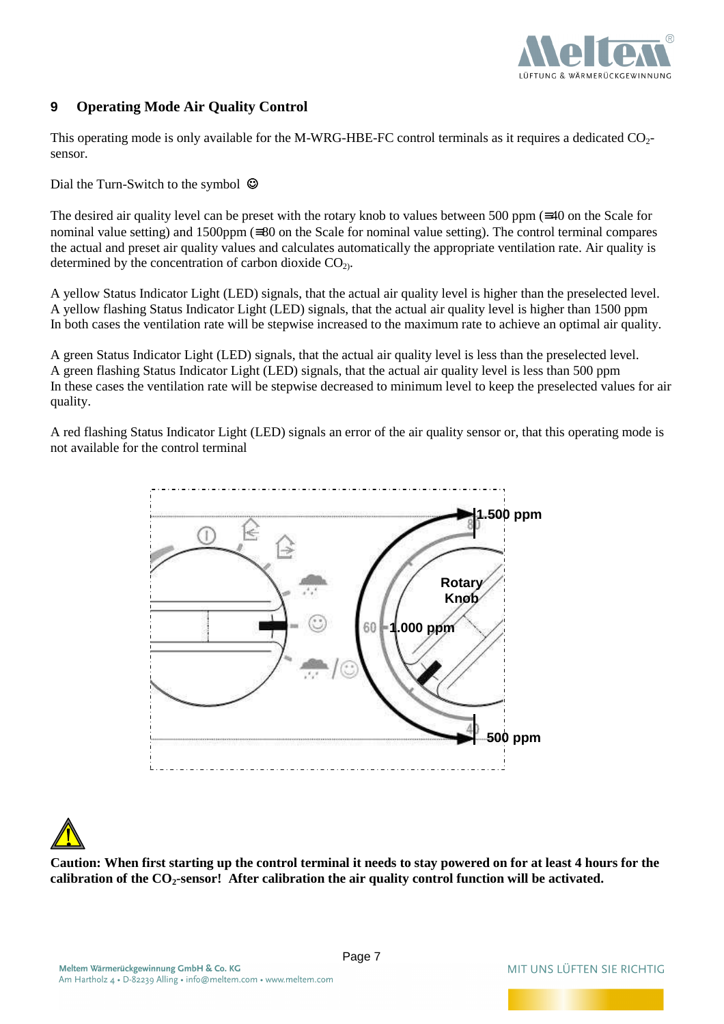

#### **9 Operating Mode Air Quality Control**

This operating mode is only available for the M-WRG-HBE-FC control terminals as it requires a dedicated  $CO<sub>2</sub>$ sensor.

Dial the Turn-Switch to the symbol  $\odot$ 

The desired air quality level can be preset with the rotary knob to values between 500 ppm (≡40 on the Scale for nominal value setting) and 1500ppm (≡80 on the Scale for nominal value setting). The control terminal compares the actual and preset air quality values and calculates automatically the appropriate ventilation rate. Air quality is determined by the concentration of carbon dioxide  $CO<sub>2</sub>$ .

A yellow Status Indicator Light (LED) signals, that the actual air quality level is higher than the preselected level. A yellow flashing Status Indicator Light (LED) signals, that the actual air quality level is higher than 1500 ppm In both cases the ventilation rate will be stepwise increased to the maximum rate to achieve an optimal air quality.

A green Status Indicator Light (LED) signals, that the actual air quality level is less than the preselected level. A green flashing Status Indicator Light (LED) signals, that the actual air quality level is less than 500 ppm In these cases the ventilation rate will be stepwise decreased to minimum level to keep the preselected values for air quality.

A red flashing Status Indicator Light (LED) signals an error of the air quality sensor or, that this operating mode is not available for the control terminal



**Caution: When first starting up the control terminal it needs to stay powered on for at least 4 hours for the calibration of the CO2-sensor! After calibration the air quality control function will be activated.**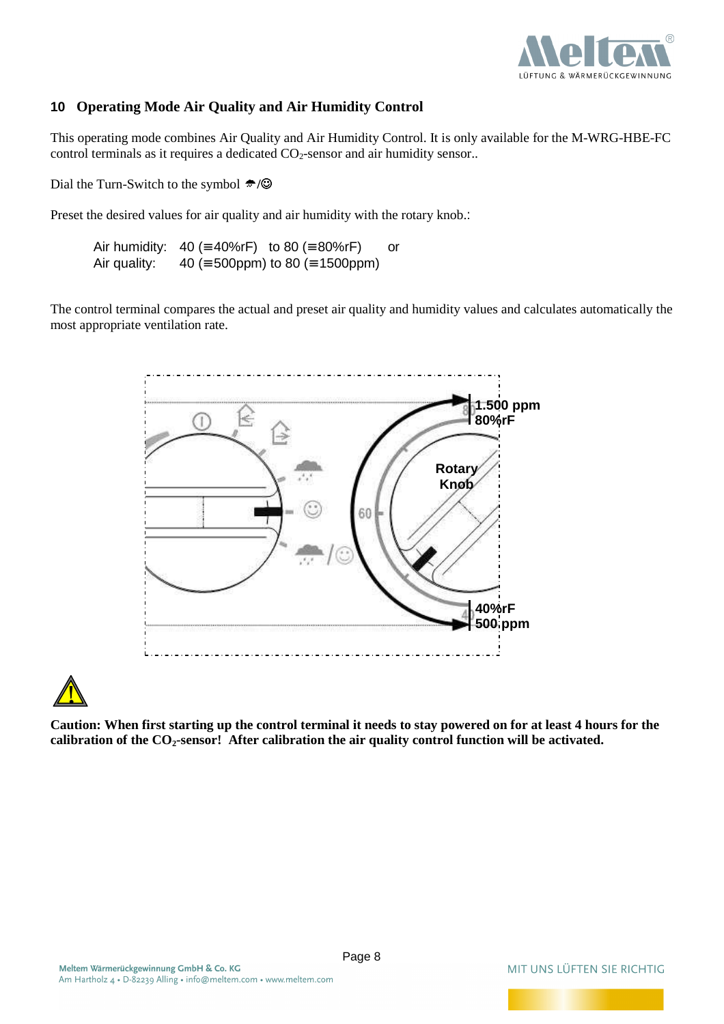

#### **10 Operating Mode Air Quality and Air Humidity Control**

This operating mode combines Air Quality and Air Humidity Control. It is only available for the M-WRG-HBE-FC control terminals as it requires a dedicated  $CO<sub>2</sub>$ -sensor and air humidity sensor..

Dial the Turn-Switch to the symbol **<del>←</del>/◎** 

Preset the desired values for air quality and air humidity with the rotary knob.:

Air humidity:  $40 (= 40\% \text{rF})$  to 80 (= 80%rF) or Air quality:  $40 (= 500$ ppm) to 80 (= 1500ppm)

The control terminal compares the actual and preset air quality and humidity values and calculates automatically the most appropriate ventilation rate.





**Caution: When first starting up the control terminal it needs to stay powered on for at least 4 hours for the calibration of the CO2-sensor! After calibration the air quality control function will be activated.**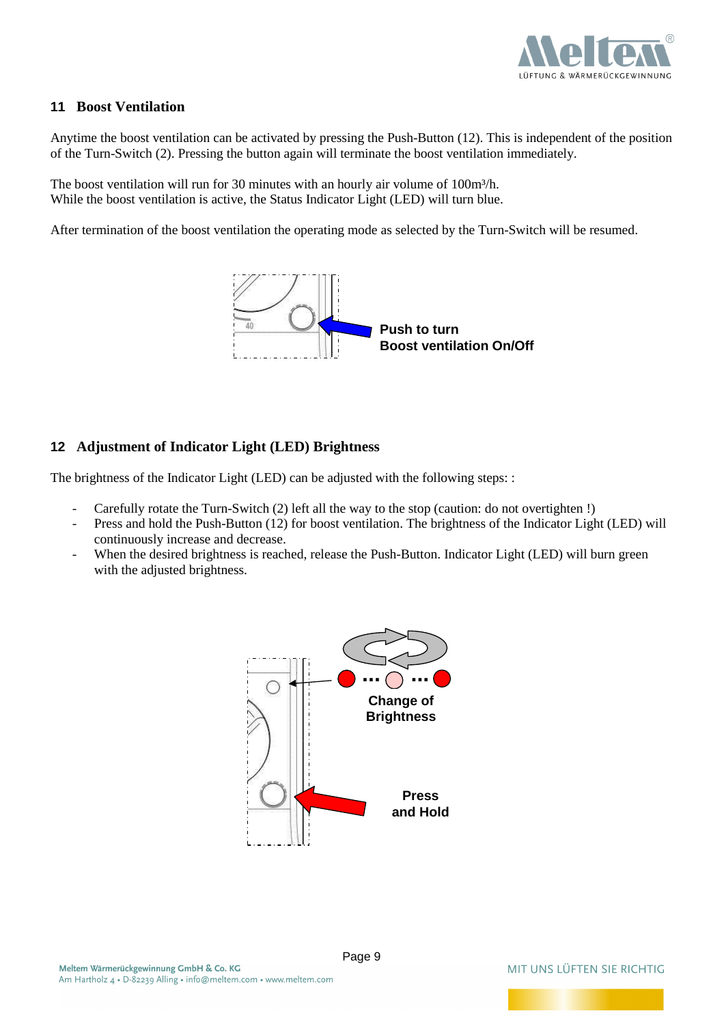

#### **11 Boost Ventilation**

Anytime the boost ventilation can be activated by pressing the Push-Button (12). This is independent of the position of the Turn-Switch (2). Pressing the button again will terminate the boost ventilation immediately.

The boost ventilation will run for 30 minutes with an hourly air volume of 100m<sup>3</sup>/h. While the boost ventilation is active, the Status Indicator Light (LED) will turn blue.

After termination of the boost ventilation the operating mode as selected by the Turn-Switch will be resumed.



#### **12 Adjustment of Indicator Light (LED) Brightness**

The brightness of the Indicator Light (LED) can be adjusted with the following steps: :

- Carefully rotate the Turn-Switch (2) left all the way to the stop (caution: do not overtighten !)
- Press and hold the Push-Button (12) for boost ventilation. The brightness of the Indicator Light (LED) will continuously increase and decrease.
- When the desired brightness is reached, release the Push-Button. Indicator Light (LED) will burn green with the adjusted brightness.

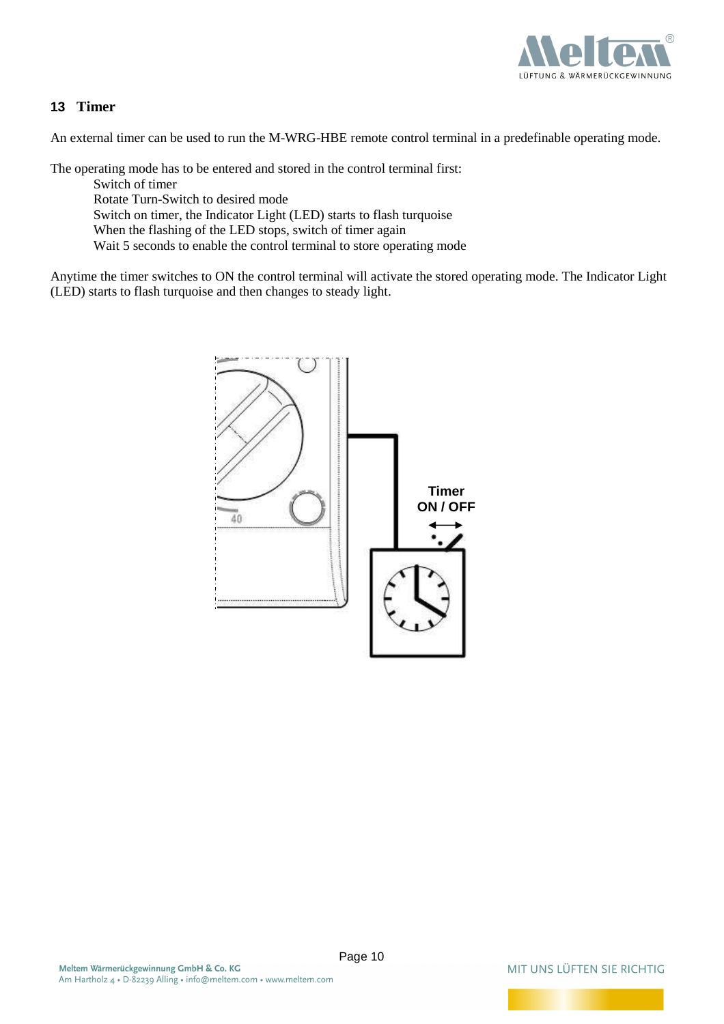

#### **13 Timer**

An external timer can be used to run the M-WRG-HBE remote control terminal in a predefinable operating mode.

The operating mode has to be entered and stored in the control terminal first:

Switch of timer

Rotate Turn-Switch to desired mode

Switch on timer, the Indicator Light (LED) starts to flash turquoise

When the flashing of the LED stops, switch of timer again

Wait 5 seconds to enable the control terminal to store operating mode

Anytime the timer switches to ON the control terminal will activate the stored operating mode. The Indicator Light (LED) starts to flash turquoise and then changes to steady light.

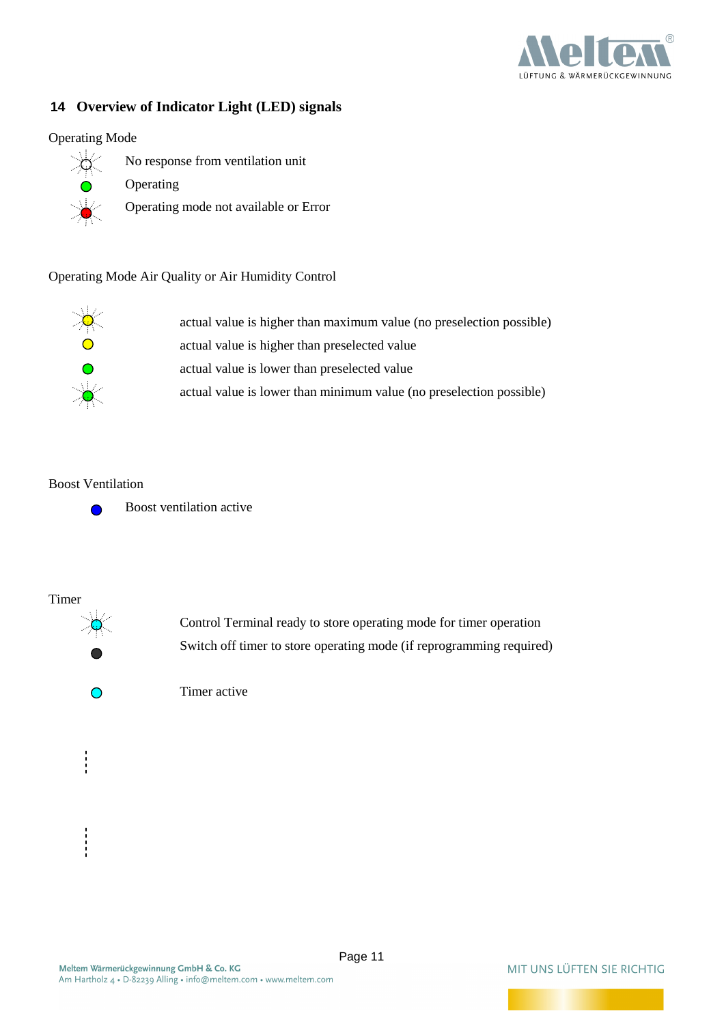

#### **14 Overview of Indicator Light (LED) signals**

#### Operating Mode



- No response from ventilation unit
	- Operating
- Operating mode not available or Error

#### Operating Mode Air Quality or Air Humidity Control



 actual value is higher than maximum value (no preselection possible) actual value is higher than preselected value actual value is lower than preselected value actual value is lower than minimum value (no preselection possible)

#### Boost Ventilation



Timer



 Control Terminal ready to store operating mode for timer operation Switch off timer to store operating mode (if reprogramming required)

Timer active